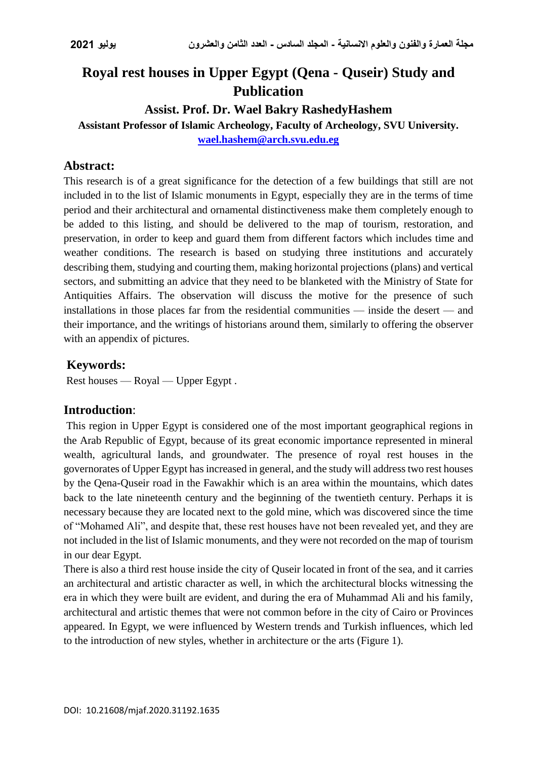# **Royal rest houses in Upper Egypt (Qena - Quseir) Study and Publication**

## **Assist. Prof. Dr. Wael Bakry RashedyHashem**

**Assistant Professor of Islamic Archeology, Faculty of Archeology, SVU University. [wael.hashem@arch.svu.edu.eg](mailto:wael.hashem@arch.svu.edu.eg)**

## **Abstract:**

This research is of a great significance for the detection of a few buildings that still are not included in to the list of Islamic monuments in Egypt, especially they are in the terms of time period and their architectural and ornamental distinctiveness make them completely enough to be added to this listing, and should be delivered to the map of tourism, restoration, and preservation, in order to keep and guard them from different factors which includes time and weather conditions. The research is based on studying three institutions and accurately describing them, studying and courting them, making horizontal projections (plans) and vertical sectors, and submitting an advice that they need to be blanketed with the Ministry of State for Antiquities Affairs. The observation will discuss the motive for the presence of such installations in those places far from the residential communities — inside the desert — and their importance, and the writings of historians around them, similarly to offering the observer with an appendix of pictures.

## **Keywords:**

Rest houses — Royal — Upper Egypt .

## **Introduction**:

This region in Upper Egypt is considered one of the most important geographical regions in the Arab Republic of Egypt, because of its great economic importance represented in mineral wealth, agricultural lands, and groundwater. The presence of royal rest houses in the governorates of Upper Egypt has increased in general, and the study will address two rest houses by the Qena-Quseir road in the Fawakhir which is an area within the mountains, which dates back to the late nineteenth century and the beginning of the twentieth century. Perhaps it is necessary because they are located next to the gold mine, which was discovered since the time of "Mohamed Ali", and despite that, these rest houses have not been revealed yet, and they are not included in the list of Islamic monuments, and they were not recorded on the map of tourism in our dear Egypt.

There is also a third rest house inside the city of Quseir located in front of the sea, and it carries an architectural and artistic character as well, in which the architectural blocks witnessing the era in which they were built are evident, and during the era of Muhammad Ali and his family, architectural and artistic themes that were not common before in the city of Cairo or Provinces appeared. In Egypt, we were influenced by Western trends and Turkish influences, which led to the introduction of new styles, whether in architecture or the arts (Figure 1).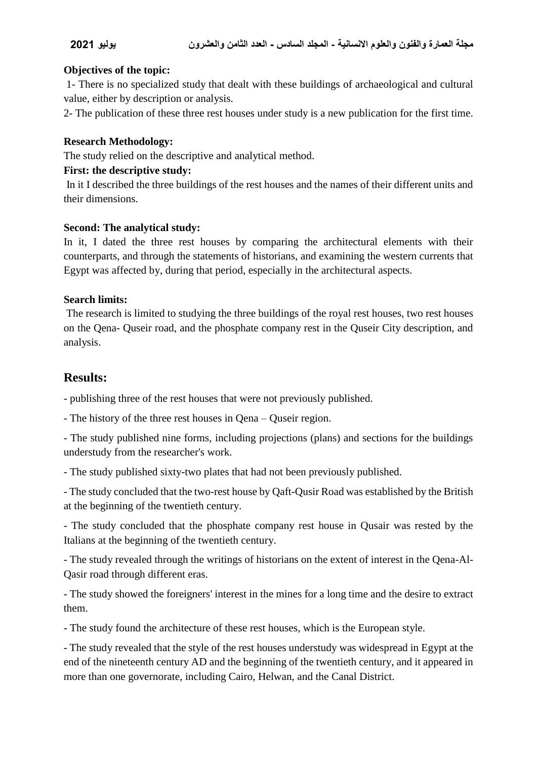#### **Objectives of the topic:**

1- There is no specialized study that dealt with these buildings of archaeological and cultural value, either by description or analysis.

2- The publication of these three rest houses under study is a new publication for the first time.

#### **Research Methodology:**

The study relied on the descriptive and analytical method.

#### **First: the descriptive study:**

In it I described the three buildings of the rest houses and the names of their different units and their dimensions.

#### **Second: The analytical study:**

In it, I dated the three rest houses by comparing the architectural elements with their counterparts, and through the statements of historians, and examining the western currents that Egypt was affected by, during that period, especially in the architectural aspects.

#### **Search limits:**

The research is limited to studying the three buildings of the royal rest houses, two rest houses on the Qena- Quseir road, and the phosphate company rest in the Quseir City description, and analysis.

## **Results:**

- publishing three of the rest houses that were not previously published.

- The history of the three rest houses in Qena – Quseir region.

- The study published nine forms, including projections (plans) and sections for the buildings understudy from the researcher's work.

- The study published sixty-two plates that had not been previously published.

- The study concluded that the two-rest house by Qaft-Qusir Road was established by the British at the beginning of the twentieth century.

- The study concluded that the phosphate company rest house in Qusair was rested by the Italians at the beginning of the twentieth century.

- The study revealed through the writings of historians on the extent of interest in the Qena-Al-Qasir road through different eras.

- The study showed the foreigners' interest in the mines for a long time and the desire to extract them.

- The study found the architecture of these rest houses, which is the European style.

- The study revealed that the style of the rest houses understudy was widespread in Egypt at the end of the nineteenth century AD and the beginning of the twentieth century, and it appeared in more than one governorate, including Cairo, Helwan, and the Canal District.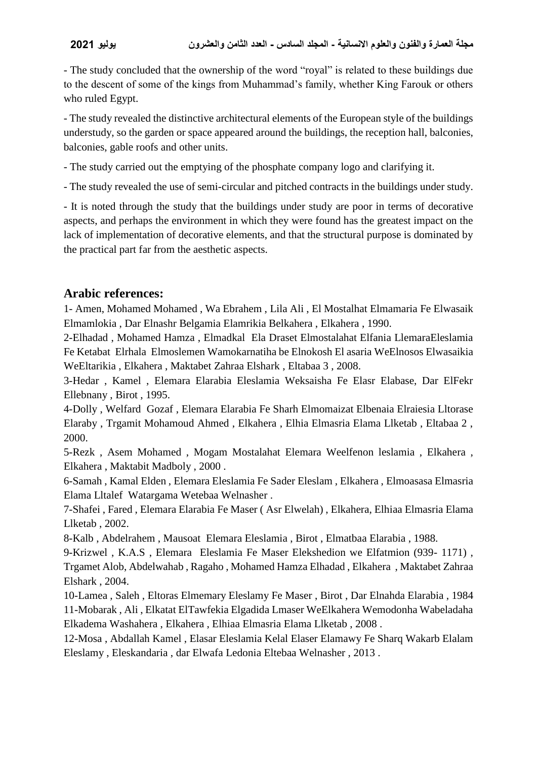- The study concluded that the ownership of the word "royal" is related to these buildings due to the descent of some of the kings from Muhammad's family, whether King Farouk or others who ruled Egypt.

- The study revealed the distinctive architectural elements of the European style of the buildings understudy, so the garden or space appeared around the buildings, the reception hall, balconies, balconies, gable roofs and other units.

- The study carried out the emptying of the phosphate company logo and clarifying it.

- The study revealed the use of semi-circular and pitched contracts in the buildings under study.

- It is noted through the study that the buildings under study are poor in terms of decorative aspects, and perhaps the environment in which they were found has the greatest impact on the lack of implementation of decorative elements, and that the structural purpose is dominated by the practical part far from the aesthetic aspects.

## **Arabic references:**

1- Amen, Mohamed Mohamed , Wa Ebrahem , Lila Ali , El Mostalhat Elmamaria Fe Elwasaik Elmamlokia , Dar Elnashr Belgamia Elamrikia Belkahera , Elkahera , 1990.

2-Elhadad , Mohamed Hamza , Elmadkal Ela Draset Elmostalahat Elfania LlemaraEleslamia Fe Ketabat Elrhala Elmoslemen Wamokarnatiha be Elnokosh El asaria WeElnosos Elwasaikia WeEltarikia , Elkahera , Maktabet Zahraa Elshark , Eltabaa 3 , 2008.

3-Hedar , Kamel , Elemara Elarabia Eleslamia Weksaisha Fe Elasr Elabase, Dar ElFekr Ellebnany , Birot , 1995.

4-Dolly , Welfard Gozaf , Elemara Elarabia Fe Sharh Elmomaizat Elbenaia Elraiesia Lltorase Elaraby , Trgamit Mohamoud Ahmed , Elkahera , Elhia Elmasria Elama Llketab , Eltabaa 2 , 2000.

5-Rezk , Asem Mohamed , Mogam Mostalahat Elemara Weelfenon leslamia , Elkahera , Elkahera , Maktabit Madboly , 2000 .

6-Samah , Kamal Elden , Elemara Eleslamia Fe Sader Eleslam , Elkahera , Elmoasasa Elmasria Elama Lltalef Watargama Wetebaa Welnasher .

7-Shafei , Fared , Elemara Elarabia Fe Maser ( Asr Elwelah) , Elkahera, Elhiaa Elmasria Elama Llketab , 2002.

8-Kalb , Abdelrahem , Mausoat Elemara Eleslamia , Birot , Elmatbaa Elarabia , 1988.

9-Krizwel , K.A.S , Elemara Eleslamia Fe Maser Elekshedion we Elfatmion (939- 1171) , Trgamet Alob, Abdelwahab , Ragaho , Mohamed Hamza Elhadad , Elkahera , Maktabet Zahraa Elshark , 2004.

10-Lamea , Saleh , Eltoras Elmemary Eleslamy Fe Maser , Birot , Dar Elnahda Elarabia , 1984 11-Mobarak , Ali , Elkatat ElTawfekia Elgadida Lmaser WeElkahera Wemodonha Wabeladaha Elkadema Washahera , Elkahera , Elhiaa Elmasria Elama Llketab , 2008 .

12-Mosa , Abdallah Kamel , Elasar Eleslamia Kelal Elaser Elamawy Fe Sharq Wakarb Elalam Eleslamy , Eleskandaria , dar Elwafa Ledonia Eltebaa Welnasher , 2013 .